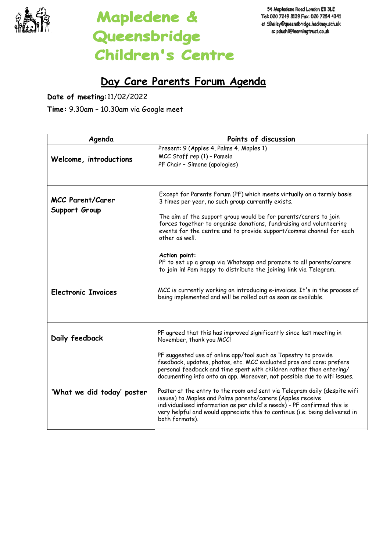

## Mapledene & Queensbridge **Children's Centre**

## **Day Care Parents Forum Agenda**

**Date of meeting:**11/02/2022

**Time:** 9.30am – 10.30am via Google meet

| Agenda                                   | Points of discussion                                                                                                                                                                                                                                                                                                                                                                                                                                                                                                         |
|------------------------------------------|------------------------------------------------------------------------------------------------------------------------------------------------------------------------------------------------------------------------------------------------------------------------------------------------------------------------------------------------------------------------------------------------------------------------------------------------------------------------------------------------------------------------------|
| Welcome, introductions                   | Present: 9 (Apples 4, Palms 4, Maples 1)<br>MCC Staff rep (1) - Pamela<br>PF Chair - Simone (apologies)                                                                                                                                                                                                                                                                                                                                                                                                                      |
| <b>MCC Parent/Carer</b><br>Support Group | Except for Parents Forum (PF) which meets virtually on a termly basis<br>3 times per year, no such group currently exists.<br>The aim of the support group would be for parents/carers to join<br>forces together to organise donations, fundraising and volunteering<br>events for the centre and to provide support/comms channel for each<br>other as well.<br>Action point:<br>PF to set up a group via Whatsapp and promote to all parents/carers<br>to join in! Pam happy to distribute the joining link via Telegram. |
| <b>Electronic Invoices</b>               | MCC is currently working on introducing e-invoices. It's in the process of<br>being implemented and will be rolled out as soon as available.                                                                                                                                                                                                                                                                                                                                                                                 |
| Daily feedback                           | PF agreed that this has improved significantly since last meeting in<br>November, thank you MCC!<br>PF suggested use of online app/tool such as Tapestry to provide<br>feedback, updates, photos, etc. MCC evaluated pros and cons: prefers<br>personal feedback and time spent with children rather than entering/<br>documenting info onto an app. Moreover, not possible due to wifi issues.                                                                                                                              |
| 'What we did today' poster               | Poster at the entry to the room and sent via Telegram daily (despite wifi<br>issues) to Maples and Palms parents/carers (Apples receive<br>individualised information as per child's needs) - PF confirmed this is<br>very helpful and would appreciate this to continue (i.e. being delivered in<br>both formats).                                                                                                                                                                                                          |